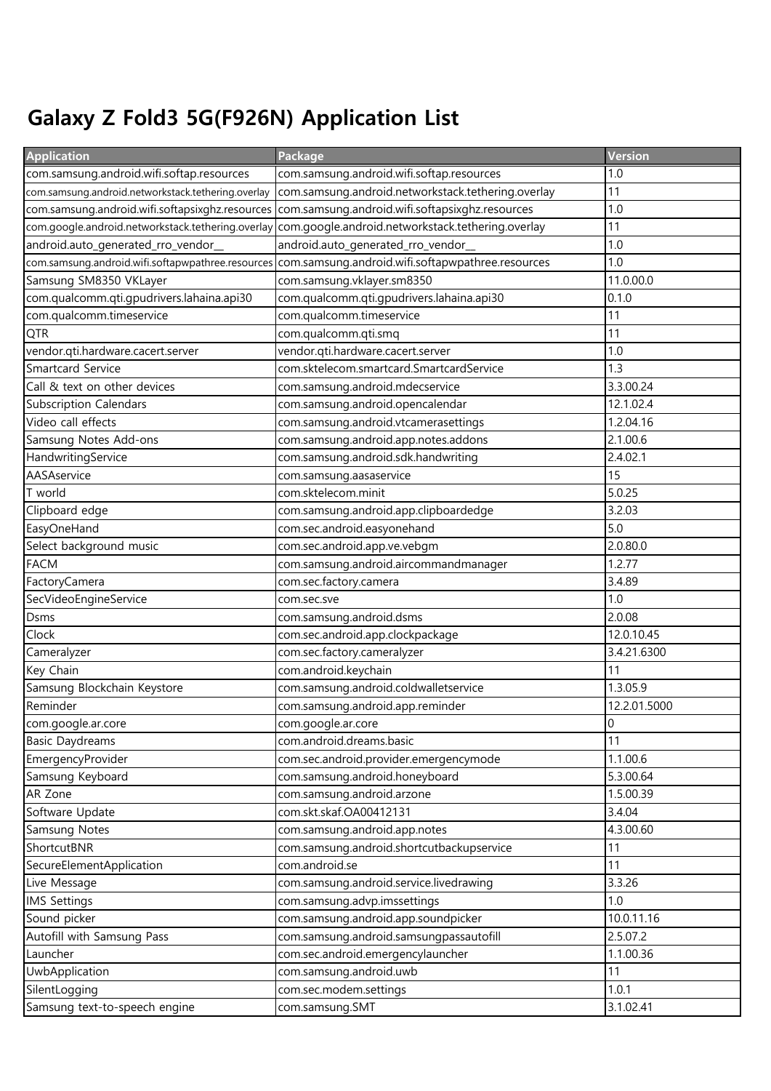## Galaxy Z Fold3 5G(F926N) Application List

| <b>Application</b>                                 | Package                                            | Version        |
|----------------------------------------------------|----------------------------------------------------|----------------|
| com.samsung.android.wifi.softap.resources          | com.samsung.android.wifi.softap.resources          | 1.0            |
| com.samsung.android.networkstack.tethering.overlay | com.samsung.android.networkstack.tethering.overlay | 11             |
| com.samsung.android.wifi.softapsixghz.resources    | com.samsung.android.wifi.softapsixghz.resources    | 1.0            |
| com.google.android.networkstack.tethering.overlay  | com.google.android.networkstack.tethering.overlay  | 11             |
| android.auto_generated_rro_vendor_                 | android.auto_generated_rro_vendor_                 | 1.0            |
| com.samsung.android.wifi.softapwpathree.resources  | com.samsung.android.wifi.softapwpathree.resources  | 1.0            |
| Samsung SM8350 VKLayer                             | com.samsung.vklayer.sm8350                         | 11.0.00.0      |
| com.qualcomm.qti.gpudrivers.lahaina.api30          | com.qualcomm.qti.gpudrivers.lahaina.api30          | 0.1.0          |
| com.qualcomm.timeservice                           | com.qualcomm.timeservice                           | 11             |
| <b>QTR</b>                                         | com.qualcomm.qti.smq                               | 11             |
| vendor.qti.hardware.cacert.server                  | vendor.qti.hardware.cacert.server                  | 1.0            |
| <b>Smartcard Service</b>                           | com.sktelecom.smartcard.SmartcardService           | 1.3            |
| Call & text on other devices                       | com.samsung.android.mdecservice                    | 3.3.00.24      |
| <b>Subscription Calendars</b>                      | com.samsung.android.opencalendar                   | 12.1.02.4      |
| Video call effects                                 | com.samsung.android.vtcamerasettings               | 1.2.04.16      |
| Samsung Notes Add-ons                              | com.samsung.android.app.notes.addons               | 2.1.00.6       |
| HandwritingService                                 | com.samsung.android.sdk.handwriting                | 2.4.02.1       |
| AASAservice                                        | com.samsung.aasaservice                            | 15             |
| T world                                            | com.sktelecom.minit                                | 5.0.25         |
| Clipboard edge                                     | com.samsung.android.app.clipboardedge              | 3.2.03         |
| EasyOneHand                                        | com.sec.android.easyonehand                        | 5.0            |
| Select background music                            | com.sec.android.app.ve.vebgm                       | 2.0.80.0       |
| <b>FACM</b>                                        | com.samsung.android.aircommandmanager              | 1.2.77         |
| FactoryCamera                                      | com.sec.factory.camera                             | 3.4.89         |
| SecVideoEngineService                              | com.sec.sve                                        | 1.0            |
| <b>Dsms</b>                                        | com.samsung.android.dsms                           | 2.0.08         |
| Clock                                              | com.sec.android.app.clockpackage                   | 12.0.10.45     |
| Cameralyzer                                        | com.sec.factory.cameralyzer                        | 3.4.21.6300    |
| Key Chain                                          | com.android.keychain                               | 11             |
| Samsung Blockchain Keystore                        | com.samsung.android.coldwalletservice              | 1.3.05.9       |
| Reminder                                           | com.samsung.android.app.reminder                   | 12.2.01.5000   |
| com.google.ar.core                                 | com.google.ar.core                                 | $\overline{0}$ |
| <b>Basic Daydreams</b>                             | com.android.dreams.basic                           | 11             |
| EmergencyProvider                                  | com.sec.android.provider.emergencymode             | 1.1.00.6       |
| Samsung Keyboard                                   | com.samsung.android.honeyboard                     | 5.3.00.64      |
| AR Zone                                            | com.samsung.android.arzone                         | 1.5.00.39      |
| Software Update                                    | com.skt.skaf.OA00412131                            | 3.4.04         |
| <b>Samsung Notes</b>                               | com.samsung.android.app.notes                      | 4.3.00.60      |
| ShortcutBNR                                        | com.samsung.android.shortcutbackupservice          | 11             |
| SecureElementApplication                           | com.android.se                                     | 11             |
| Live Message                                       | com.samsung.android.service.livedrawing            | 3.3.26         |
| <b>IMS Settings</b>                                | com.samsung.advp.imssettings                       | 1.0            |
| Sound picker                                       | com.samsung.android.app.soundpicker                | 10.0.11.16     |
| Autofill with Samsung Pass                         | com.samsung.android.samsungpassautofill            | 2.5.07.2       |
| Launcher                                           | com.sec.android.emergencylauncher                  | 1.1.00.36      |
| UwbApplication                                     | com.samsung.android.uwb                            | 11             |
| SilentLogging                                      | com.sec.modem.settings                             | 1.0.1          |
| Samsung text-to-speech engine                      | com.samsung.SMT                                    | 3.1.02.41      |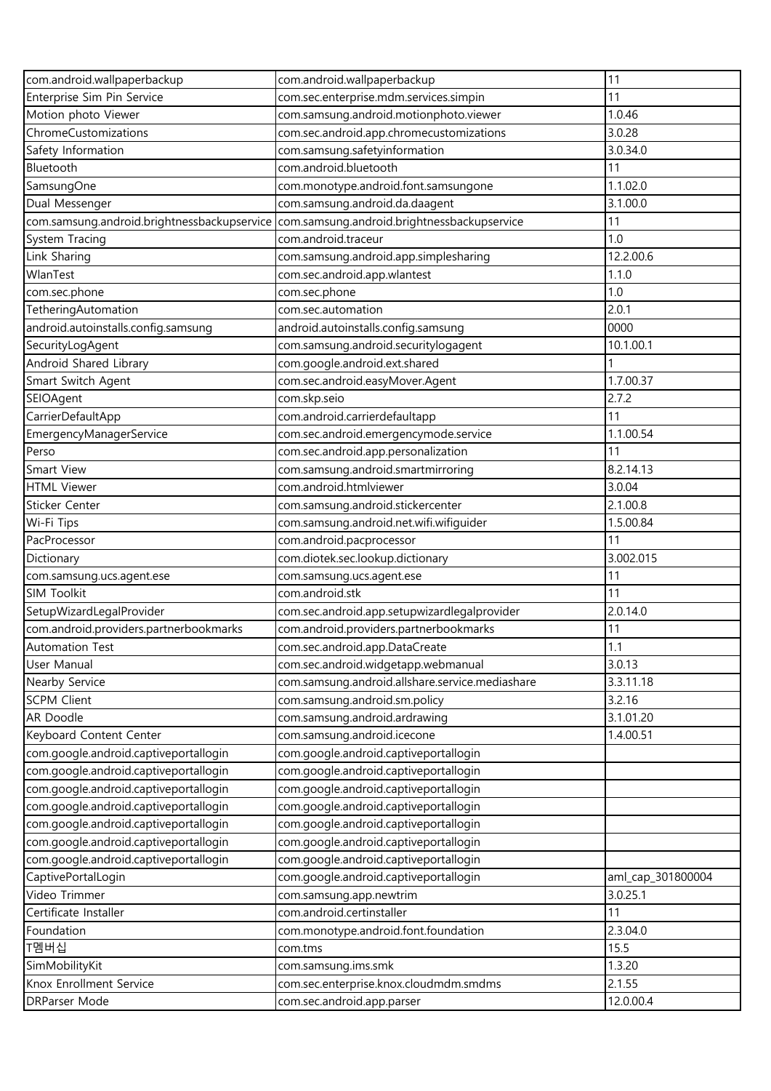| com.android.wallpaperbackup                 | com.android.wallpaperbackup                     | 11                |
|---------------------------------------------|-------------------------------------------------|-------------------|
| Enterprise Sim Pin Service                  | com.sec.enterprise.mdm.services.simpin          | 11                |
| Motion photo Viewer                         | com.samsung.android.motionphoto.viewer          | 1.0.46            |
| ChromeCustomizations                        | com.sec.android.app.chromecustomizations        | 3.0.28            |
| Safety Information                          | com.samsung.safetyinformation                   | 3.0.34.0          |
| Bluetooth                                   | com.android.bluetooth                           | 11                |
| SamsungOne                                  | com.monotype.android.font.samsungone            | 1.1.02.0          |
| Dual Messenger                              | com.samsung.android.da.daagent                  | 3.1.00.0          |
| com.samsung.android.brightnessbackupservice | com.samsung.android.brightnessbackupservice     | 11                |
| System Tracing                              | com.android.traceur                             | 1.0               |
| Link Sharing                                | com.samsung.android.app.simplesharing           | 12.2.00.6         |
| WlanTest                                    | com.sec.android.app.wlantest                    | 1.1.0             |
| com.sec.phone                               | com.sec.phone                                   | 1.0               |
| TetheringAutomation                         | com.sec.automation                              | 2.0.1             |
| android.autoinstalls.config.samsung         | android.autoinstalls.config.samsung             | 0000              |
| SecurityLogAgent                            | com.samsung.android.securitylogagent            | 10.1.00.1         |
| Android Shared Library                      | com.google.android.ext.shared                   |                   |
| Smart Switch Agent                          | com.sec.android.easyMover.Agent                 | 1.7.00.37         |
| SEIOAgent                                   | com.skp.seio                                    | 2.7.2             |
| CarrierDefaultApp                           | com.android.carrierdefaultapp                   | 11                |
| EmergencyManagerService                     | com.sec.android.emergencymode.service           | 1.1.00.54         |
| Perso                                       | com.sec.android.app.personalization             | 11                |
| Smart View                                  | com.samsung.android.smartmirroring              | 8.2.14.13         |
| <b>HTML Viewer</b>                          | com.android.htmlviewer                          | 3.0.04            |
| Sticker Center                              | com.samsung.android.stickercenter               | 2.1.00.8          |
| Wi-Fi Tips                                  | com.samsung.android.net.wifi.wifiguider         | 1.5.00.84         |
| PacProcessor                                | com.android.pacprocessor                        | 11                |
| Dictionary                                  | com.diotek.sec.lookup.dictionary                | 3.002.015         |
| com.samsung.ucs.agent.ese                   | com.samsung.ucs.agent.ese                       | 11                |
| <b>SIM Toolkit</b>                          | com.android.stk                                 | 11                |
| SetupWizardLegalProvider                    | com.sec.android.app.setupwizardlegalprovider    | 2.0.14.0          |
| com.android.providers.partnerbookmarks      | com.android.providers.partnerbookmarks          | 11                |
| <b>Automation Test</b>                      | com.sec.android.app.DataCreate                  | 1.1               |
| User Manual                                 | com.sec.android.widgetapp.webmanual             | 3.0.13            |
| Nearby Service                              | com.samsung.android.allshare.service.mediashare | 3.3.11.18         |
| <b>SCPM Client</b>                          | com.samsung.android.sm.policy                   | 3.2.16            |
| AR Doodle                                   | com.samsung.android.ardrawing                   | 3.1.01.20         |
| Keyboard Content Center                     | com.samsung.android.icecone                     | 1.4.00.51         |
| com.google.android.captiveportallogin       | com.google.android.captiveportallogin           |                   |
| com.google.android.captiveportallogin       | com.google.android.captiveportallogin           |                   |
| com.google.android.captiveportallogin       | com.google.android.captiveportallogin           |                   |
| com.google.android.captiveportallogin       | com.google.android.captiveportallogin           |                   |
| com.google.android.captiveportallogin       | com.google.android.captiveportallogin           |                   |
| com.google.android.captiveportallogin       | com.google.android.captiveportallogin           |                   |
| com.google.android.captiveportallogin       | com.google.android.captiveportallogin           |                   |
| CaptivePortalLogin                          | com.google.android.captiveportallogin           | aml_cap_301800004 |
| Video Trimmer                               | com.samsung.app.newtrim                         | 3.0.25.1          |
| Certificate Installer                       | com.android.certinstaller                       | 11                |
| Foundation                                  | com.monotype.android.font.foundation            | 2.3.04.0          |
| T멤버십                                        | com.tms                                         | 15.5              |
| SimMobilityKit                              | com.samsung.ims.smk                             | 1.3.20            |
| Knox Enrollment Service                     | com.sec.enterprise.knox.cloudmdm.smdms          | 2.1.55            |
| DRParser Mode                               | com.sec.android.app.parser                      | 12.0.00.4         |
|                                             |                                                 |                   |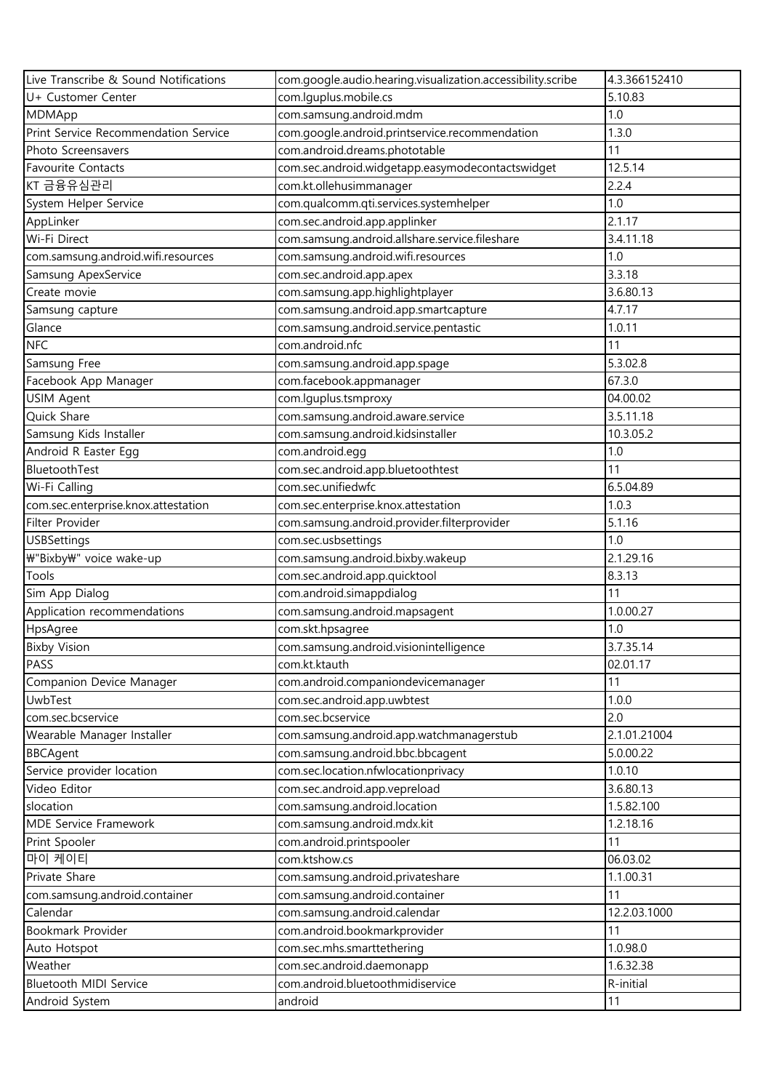| Live Transcribe & Sound Notifications | com.google.audio.hearing.visualization.accessibility.scribe | 4.3.366152410 |
|---------------------------------------|-------------------------------------------------------------|---------------|
| U+ Customer Center                    | com.lguplus.mobile.cs                                       | 5.10.83       |
| MDMApp                                | com.samsung.android.mdm                                     | 1.0           |
| Print Service Recommendation Service  | com.google.android.printservice.recommendation              | 1.3.0         |
| Photo Screensavers                    | com.android.dreams.phototable                               | 11            |
| <b>Favourite Contacts</b>             | com.sec.android.widgetapp.easymodecontactswidget            | 12.5.14       |
| KT 금융유심관리                             | com.kt.ollehusimmanager                                     | 2.2.4         |
| System Helper Service                 | com.qualcomm.qti.services.systemhelper                      | 1.0           |
| AppLinker                             | com.sec.android.app.applinker                               | 2.1.17        |
| Wi-Fi Direct                          | com.samsung.android.allshare.service.fileshare              | 3.4.11.18     |
| com.samsung.android.wifi.resources    | com.samsung.android.wifi.resources                          | 1.0           |
| Samsung ApexService                   | com.sec.android.app.apex                                    | 3.3.18        |
| Create movie                          | com.samsung.app.highlightplayer                             | 3.6.80.13     |
| Samsung capture                       | com.samsung.android.app.smartcapture                        | 4.7.17        |
| Glance                                | com.samsung.android.service.pentastic                       | 1.0.11        |
| <b>NFC</b>                            | com.android.nfc                                             | 11            |
| Samsung Free                          | com.samsung.android.app.spage                               | 5.3.02.8      |
| Facebook App Manager                  | com.facebook.appmanager                                     | 67.3.0        |
| USIM Agent                            | com.lguplus.tsmproxy                                        | 04.00.02      |
| Quick Share                           | com.samsung.android.aware.service                           | 3.5.11.18     |
| Samsung Kids Installer                | com.samsung.android.kidsinstaller                           | 10.3.05.2     |
| Android R Easter Egg                  | com.android.egg                                             | 1.0           |
| BluetoothTest                         | com.sec.android.app.bluetoothtest                           | 11            |
| Wi-Fi Calling                         | com.sec.unifiedwfc                                          | 6.5.04.89     |
| com.sec.enterprise.knox.attestation   | com.sec.enterprise.knox.attestation                         | 1.0.3         |
| Filter Provider                       | com.samsung.android.provider.filterprovider                 | 5.1.16        |
| <b>USBSettings</b>                    | com.sec.usbsettings                                         | 1.0           |
| ₩"Bixby₩" voice wake-up               | com.samsung.android.bixby.wakeup                            | 2.1.29.16     |
| Tools                                 | com.sec.android.app.quicktool                               | 8.3.13        |
| Sim App Dialog                        | com.android.simappdialog                                    | 11            |
| Application recommendations           | com.samsung.android.mapsagent                               | 1.0.00.27     |
| HpsAgree                              | com.skt.hpsagree                                            | 1.0           |
| <b>Bixby Vision</b>                   | com.samsung.android.visionintelligence                      | 3.7.35.14     |
| PASS                                  | com.kt.ktauth                                               | 02.01.17      |
| Companion Device Manager              | com.android.companiondevicemanager                          | 11            |
| UwbTest                               | com.sec.android.app.uwbtest                                 | 1.0.0         |
| com.sec.bcservice                     | com.sec.bcservice                                           | 2.0           |
| Wearable Manager Installer            | com.samsung.android.app.watchmanagerstub                    | 2.1.01.21004  |
| <b>BBCAgent</b>                       | com.samsung.android.bbc.bbcagent                            | 5.0.00.22     |
| Service provider location             | com.sec.location.nfwlocationprivacy                         | 1.0.10        |
| Video Editor                          | com.sec.android.app.vepreload                               | 3.6.80.13     |
| slocation                             | com.samsung.android.location                                | 1.5.82.100    |
| <b>MDE Service Framework</b>          | com.samsung.android.mdx.kit                                 | 1.2.18.16     |
| Print Spooler                         | com.android.printspooler                                    | 11            |
| 마이 케이티                                | com.ktshow.cs                                               | 06.03.02      |
| Private Share                         | com.samsung.android.privateshare                            | 1.1.00.31     |
| com.samsung.android.container         | com.samsung.android.container                               | 11            |
| Calendar                              | com.samsung.android.calendar                                | 12.2.03.1000  |
| Bookmark Provider                     | com.android.bookmarkprovider                                | 11            |
| Auto Hotspot                          | com.sec.mhs.smarttethering                                  | 1.0.98.0      |
| Weather                               | com.sec.android.daemonapp                                   | 1.6.32.38     |
| Bluetooth MIDI Service                | com.android.bluetoothmidiservice                            | R-initial     |
| Android System                        | android                                                     | 11            |
|                                       |                                                             |               |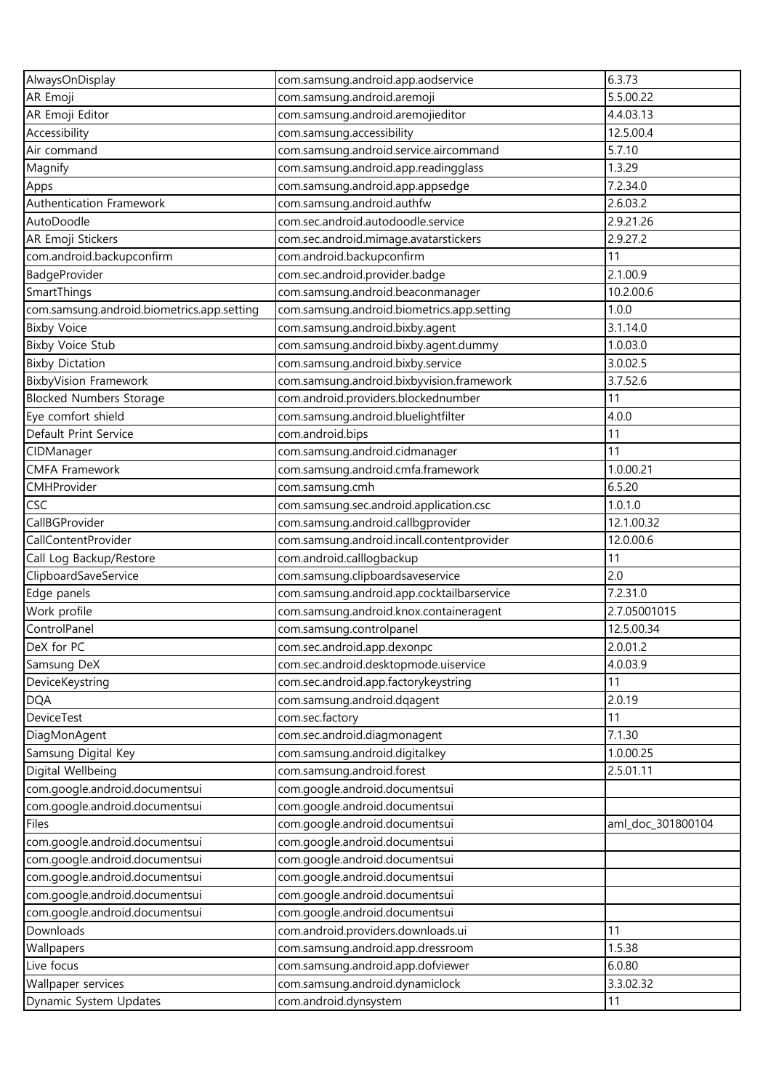| AlwaysOnDisplay                                                  | com.samsung.android.app.aodservice                                   | 6.3.73            |
|------------------------------------------------------------------|----------------------------------------------------------------------|-------------------|
| AR Emoji                                                         | com.samsung.android.aremoji                                          | 5.5.00.22         |
| AR Emoji Editor                                                  | com.samsung.android.aremojieditor                                    | 4.4.03.13         |
| Accessibility                                                    | com.samsung.accessibility                                            | 12.5.00.4         |
| Air command                                                      | com.samsung.android.service.aircommand                               | 5.7.10            |
| Magnify                                                          | com.samsung.android.app.readingglass                                 | 1.3.29            |
| Apps                                                             | com.samsung.android.app.appsedge                                     | 7.2.34.0          |
| Authentication Framework                                         | com.samsung.android.authfw                                           | 2.6.03.2          |
| AutoDoodle                                                       | com.sec.android.autodoodle.service                                   | 2.9.21.26         |
| AR Emoji Stickers                                                | com.sec.android.mimage.avatarstickers                                | 2.9.27.2          |
| com.android.backupconfirm                                        | com.android.backupconfirm                                            | 11                |
| BadgeProvider                                                    | com.sec.android.provider.badge                                       | 2.1.00.9          |
| SmartThings                                                      | com.samsung.android.beaconmanager                                    | 10.2.00.6         |
| com.samsung.android.biometrics.app.setting                       | com.samsung.android.biometrics.app.setting                           | 1.0.0             |
| <b>Bixby Voice</b>                                               | com.samsung.android.bixby.agent                                      | 3.1.14.0          |
| <b>Bixby Voice Stub</b>                                          | com.samsung.android.bixby.agent.dummy                                | 1.0.03.0          |
| <b>Bixby Dictation</b>                                           | com.samsung.android.bixby.service                                    | 3.0.02.5          |
| <b>BixbyVision Framework</b>                                     | com.samsung.android.bixbyvision.framework                            | 3.7.52.6          |
| <b>Blocked Numbers Storage</b>                                   | com.android.providers.blockednumber                                  | 11                |
| Eye comfort shield                                               | com.samsung.android.bluelightfilter                                  | 4.0.0             |
| Default Print Service                                            | com.android.bips                                                     | 11                |
| CIDManager                                                       | com.samsung.android.cidmanager                                       | 11                |
| <b>CMFA Framework</b>                                            | com.samsung.android.cmfa.framework                                   | 1.0.00.21         |
| CMHProvider                                                      | com.samsung.cmh                                                      | 6.5.20            |
| CSC                                                              | com.samsung.sec.android.application.csc                              | 1.0.1.0           |
| CallBGProvider                                                   | com.samsung.android.callbgprovider                                   | 12.1.00.32        |
| CallContentProvider                                              | com.samsung.android.incall.contentprovider                           | 12.0.00.6         |
| Call Log Backup/Restore                                          | com.android.calllogbackup                                            | 11                |
| ClipboardSaveService                                             | com.samsung.clipboardsaveservice                                     | 2.0               |
| Edge panels                                                      | com.samsung.android.app.cocktailbarservice                           | 7.2.31.0          |
| Work profile                                                     | com.samsung.android.knox.containeragent                              | 2.7.05001015      |
| ControlPanel                                                     | com.samsung.controlpanel                                             | 12.5.00.34        |
| DeX for PC                                                       | com.sec.android.app.dexonpc                                          | 2.0.01.2          |
| Samsung DeX                                                      | com.sec.android.desktopmode.uiservice                                | 4.0.03.9          |
| DeviceKeystring                                                  | com.sec.android.app.factorykeystring                                 | 11                |
| <b>DQA</b>                                                       | com.samsung.android.dqagent                                          | 2.0.19            |
| DeviceTest                                                       | com.sec.factory                                                      | 11                |
| DiagMonAgent                                                     | com.sec.android.diagmonagent                                         | 7.1.30            |
| Samsung Digital Key                                              | com.samsung.android.digitalkey                                       | 1.0.00.25         |
| Digital Wellbeing                                                | com.samsung.android.forest                                           | 2.5.01.11         |
| com.google.android.documentsui                                   | com.google.android.documentsui                                       |                   |
| com.google.android.documentsui                                   | com.google.android.documentsui                                       |                   |
| Files                                                            | com.google.android.documentsui                                       | aml_doc_301800104 |
| com.google.android.documentsui                                   | com.google.android.documentsui                                       |                   |
| com.google.android.documentsui                                   | com.google.android.documentsui                                       |                   |
|                                                                  |                                                                      |                   |
| com.google.android.documentsui<br>com.google.android.documentsui | com.google.android.documentsui<br>com.google.android.documentsui     |                   |
|                                                                  |                                                                      |                   |
| com.google.android.documentsui<br>Downloads                      | com.google.android.documentsui<br>com.android.providers.downloads.ui | 11                |
| Wallpapers                                                       | com.samsung.android.app.dressroom                                    | 1.5.38            |
| Live focus                                                       | com.samsung.android.app.dofviewer                                    | 6.0.80            |
|                                                                  | com.samsung.android.dynamiclock                                      | 3.3.02.32         |
| Wallpaper services                                               |                                                                      |                   |
| Dynamic System Updates                                           | com.android.dynsystem                                                | 11                |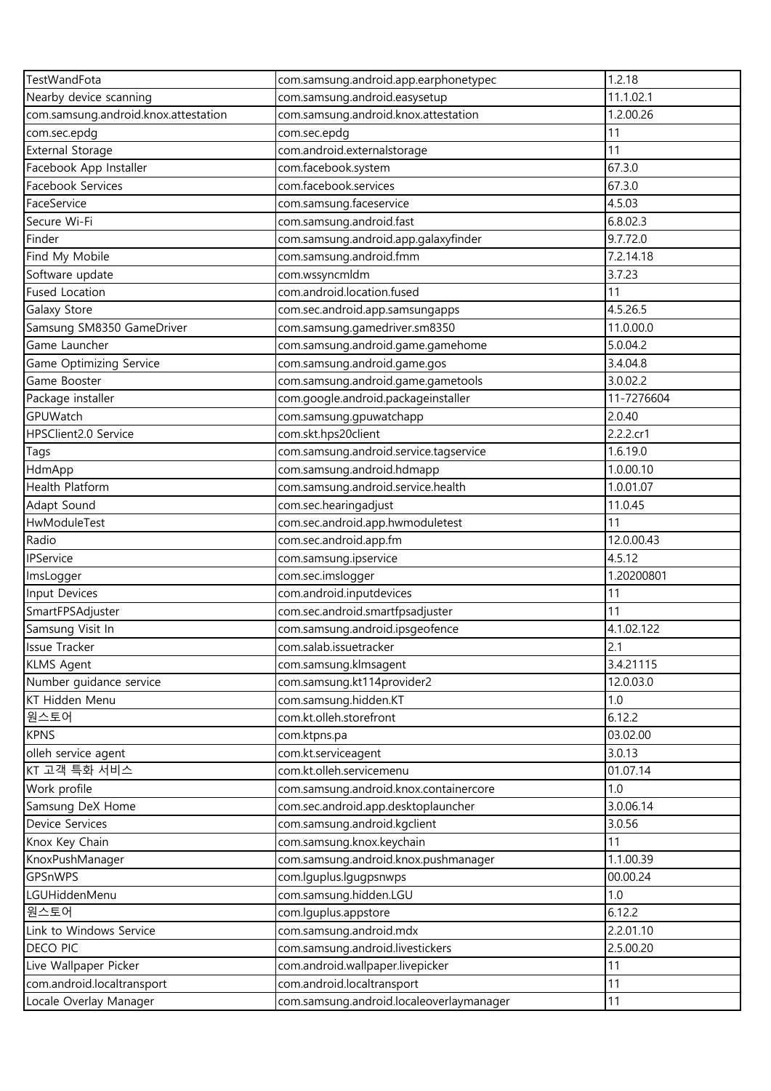| TestWandFota                         | com.samsung.android.app.earphonetypec    | 1.2.18     |
|--------------------------------------|------------------------------------------|------------|
| Nearby device scanning               | com.samsung.android.easysetup            | 11.1.02.1  |
| com.samsung.android.knox.attestation | com.samsung.android.knox.attestation     | 1.2.00.26  |
| com.sec.epdg                         | com.sec.epdg                             | 11         |
| <b>External Storage</b>              | com.android.externalstorage              | 11         |
| Facebook App Installer               | com.facebook.system                      | 67.3.0     |
| Facebook Services                    | com.facebook.services                    | 67.3.0     |
| FaceService                          | com.samsung.faceservice                  | 4.5.03     |
| Secure Wi-Fi                         | com.samsung.android.fast                 | 6.8.02.3   |
| Finder                               | com.samsung.android.app.galaxyfinder     | 9.7.72.0   |
| Find My Mobile                       | com.samsung.android.fmm                  | 7.2.14.18  |
| Software update                      | com.wssyncmldm                           | 3.7.23     |
| <b>Fused Location</b>                | com.android.location.fused               | 11         |
| Galaxy Store                         | com.sec.android.app.samsungapps          | 4.5.26.5   |
| Samsung SM8350 GameDriver            | com.samsung.gamedriver.sm8350            | 11.0.00.0  |
| Game Launcher                        | com.samsung.android.game.gamehome        | 5.0.04.2   |
| Game Optimizing Service              | com.samsung.android.game.gos             | 3.4.04.8   |
| Game Booster                         | com.samsung.android.game.gametools       | 3.0.02.2   |
| Package installer                    | com.google.android.packageinstaller      | 11-7276604 |
| <b>GPUWatch</b>                      | com.samsung.gpuwatchapp                  | 2.0.40     |
| HPSClient2.0 Service                 | com.skt.hps20client                      | 2.2.2.cr1  |
| Tags                                 | com.samsung.android.service.tagservice   | 1.6.19.0   |
| HdmApp                               | com.samsung.android.hdmapp               | 1.0.00.10  |
| Health Platform                      | com.samsung.android.service.health       | 1.0.01.07  |
| Adapt Sound                          | com.sec.hearingadjust                    | 11.0.45    |
| HwModuleTest                         | com.sec.android.app.hwmoduletest         | 11         |
| Radio                                | com.sec.android.app.fm                   | 12.0.00.43 |
| IPService                            | com.samsung.ipservice                    | 4.5.12     |
| ImsLogger                            | com.sec.imslogger                        | 1.20200801 |
| Input Devices                        | com.android.inputdevices                 | 11         |
| SmartFPSAdjuster                     | com.sec.android.smartfpsadjuster         | 11         |
| Samsung Visit In                     | com.samsung.android.ipsgeofence          | 4.1.02.122 |
| <b>Issue Tracker</b>                 | com.salab.issuetracker                   | 2.1        |
| <b>KLMS Agent</b>                    | com.samsung.klmsagent                    | 3.4.21115  |
| Number guidance service              | com.samsung.kt114provider2               | 12.0.03.0  |
| KT Hidden Menu                       | com.samsung.hidden.KT                    | 1.0        |
| 원스토어                                 | com.kt.olleh.storefront                  | 6.12.2     |
| <b>KPNS</b>                          | com.ktpns.pa                             | 03.02.00   |
| olleh service agent                  | com.kt.serviceagent                      | 3.0.13     |
| KT 고객 특화 서비스                         | com.kt.olleh.servicemenu                 | 01.07.14   |
| Work profile                         | com.samsung.android.knox.containercore   | 1.0        |
| Samsung DeX Home                     | com.sec.android.app.desktoplauncher      | 3.0.06.14  |
| Device Services                      | com.samsung.android.kgclient             | 3.0.56     |
| Knox Key Chain                       | com.samsung.knox.keychain                | 11         |
| KnoxPushManager                      | com.samsung.android.knox.pushmanager     | 1.1.00.39  |
| GPSnWPS                              | com.lguplus.lgugpsnwps                   | 00.00.24   |
| LGUHiddenMenu                        | com.samsung.hidden.LGU                   | 1.0        |
| 원스토어                                 | com.lguplus.appstore                     | 6.12.2     |
| Link to Windows Service              | com.samsung.android.mdx                  | 2.2.01.10  |
| DECO PIC                             | com.samsung.android.livestickers         | 2.5.00.20  |
| Live Wallpaper Picker                | com.android.wallpaper.livepicker         | 11         |
| com.android.localtransport           | com.android.localtransport               | 11         |
| Locale Overlay Manager               | com.samsung.android.localeoverlaymanager | 11         |
|                                      |                                          |            |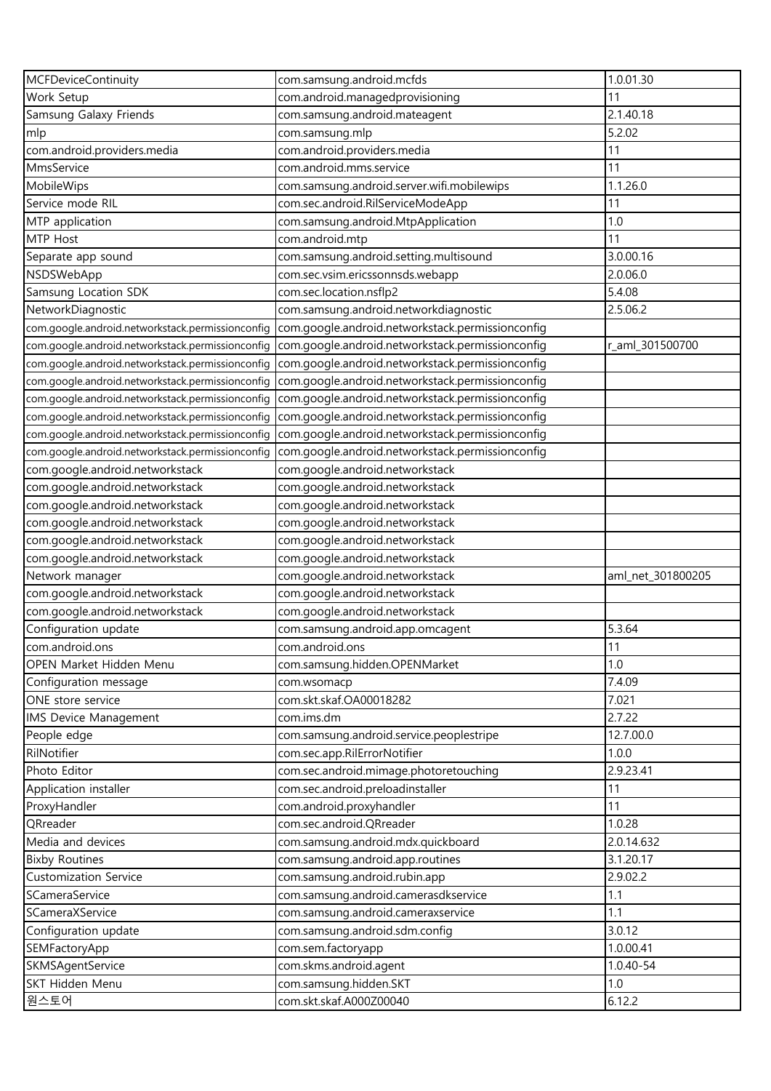| <b>MCFDeviceContinuity</b>                       | com.samsung.android.mcfds                        | 1.0.01.30         |
|--------------------------------------------------|--------------------------------------------------|-------------------|
| Work Setup                                       | com.android.managedprovisioning                  | 11                |
| Samsung Galaxy Friends                           | com.samsung.android.mateagent                    | 2.1.40.18         |
| mlp                                              | com.samsung.mlp                                  | 5.2.02            |
| com.android.providers.media                      | com.android.providers.media                      | 11                |
| MmsService                                       | com.android.mms.service                          | 11                |
| MobileWips                                       | com.samsung.android.server.wifi.mobilewips       | 1.1.26.0          |
| Service mode RIL                                 | com.sec.android.RilServiceModeApp                | 11                |
| MTP application                                  | com.samsung.android.MtpApplication               | 1.0               |
| MTP Host                                         | com.android.mtp                                  | 11                |
| Separate app sound                               | com.samsung.android.setting.multisound           | 3.0.00.16         |
| NSDSWebApp                                       | com.sec.vsim.ericssonnsds.webapp                 | 2.0.06.0          |
| Samsung Location SDK                             | com.sec.location.nsflp2                          | 5.4.08            |
| NetworkDiagnostic                                | com.samsung.android.networkdiagnostic            | 2.5.06.2          |
| com.google.android.networkstack.permissionconfig | com.google.android.networkstack.permissionconfig |                   |
| com.google.android.networkstack.permissionconfig | com.google.android.networkstack.permissionconfig | r_aml_301500700   |
| com.google.android.networkstack.permissionconfig | com.google.android.networkstack.permissionconfig |                   |
| com.google.android.networkstack.permissionconfig | com.google.android.networkstack.permissionconfig |                   |
| com.google.android.networkstack.permissionconfig | com.google.android.networkstack.permissionconfig |                   |
| com.google.android.networkstack.permissionconfig | com.google.android.networkstack.permissionconfig |                   |
| com.google.android.networkstack.permissionconfig | com.google.android.networkstack.permissionconfig |                   |
| com.google.android.networkstack.permissionconfig | com.google.android.networkstack.permissionconfig |                   |
| com.google.android.networkstack                  | com.google.android.networkstack                  |                   |
| com.google.android.networkstack                  | com.google.android.networkstack                  |                   |
| com.google.android.networkstack                  | com.google.android.networkstack                  |                   |
| com.google.android.networkstack                  | com.google.android.networkstack                  |                   |
| com.google.android.networkstack                  | com.google.android.networkstack                  |                   |
| com.google.android.networkstack                  | com.google.android.networkstack                  |                   |
| Network manager                                  | com.google.android.networkstack                  | aml_net_301800205 |
| com.google.android.networkstack                  | com.google.android.networkstack                  |                   |
| com.google.android.networkstack                  | com.google.android.networkstack                  |                   |
| Configuration update                             | com.samsung.android.app.omcagent                 | 5.3.64            |
| com.android.ons                                  | com.android.ons                                  | 11                |
| OPEN Market Hidden Menu                          | com.samsung.hidden.OPENMarket                    | 1.0               |
| Configuration message                            | com.wsomacp                                      | 7.4.09            |
| ONE store service                                | com.skt.skaf.OA00018282                          | 7.021             |
| <b>IMS Device Management</b>                     | com.ims.dm                                       | 2.7.22            |
| People edge                                      | com.samsung.android.service.peoplestripe         | 12.7.00.0         |
| RilNotifier                                      | com.sec.app.RilErrorNotifier                     | 1.0.0             |
| Photo Editor                                     | com.sec.android.mimage.photoretouching           | 2.9.23.41         |
| Application installer                            | com.sec.android.preloadinstaller                 | 11                |
| ProxyHandler                                     | com.android.proxyhandler                         | 11                |
| QRreader                                         | com.sec.android.QRreader                         | 1.0.28            |
| Media and devices                                | com.samsung.android.mdx.quickboard               | 2.0.14.632        |
| <b>Bixby Routines</b>                            | com.samsung.android.app.routines                 | 3.1.20.17         |
| <b>Customization Service</b>                     | com.samsung.android.rubin.app                    | 2.9.02.2          |
| SCameraService                                   | com.samsung.android.camerasdkservice             | 1.1               |
| SCameraXService                                  | com.samsung.android.cameraxservice               | 1.1               |
| Configuration update                             | com.samsung.android.sdm.config                   | 3.0.12            |
| SEMFactoryApp                                    | com.sem.factoryapp                               | 1.0.00.41         |
| SKMSAgentService                                 | com.skms.android.agent                           | 1.0.40-54         |
| SKT Hidden Menu                                  | com.samsung.hidden.SKT                           | 1.0               |
| 원스토어                                             | com.skt.skaf.A000Z00040                          | 6.12.2            |
|                                                  |                                                  |                   |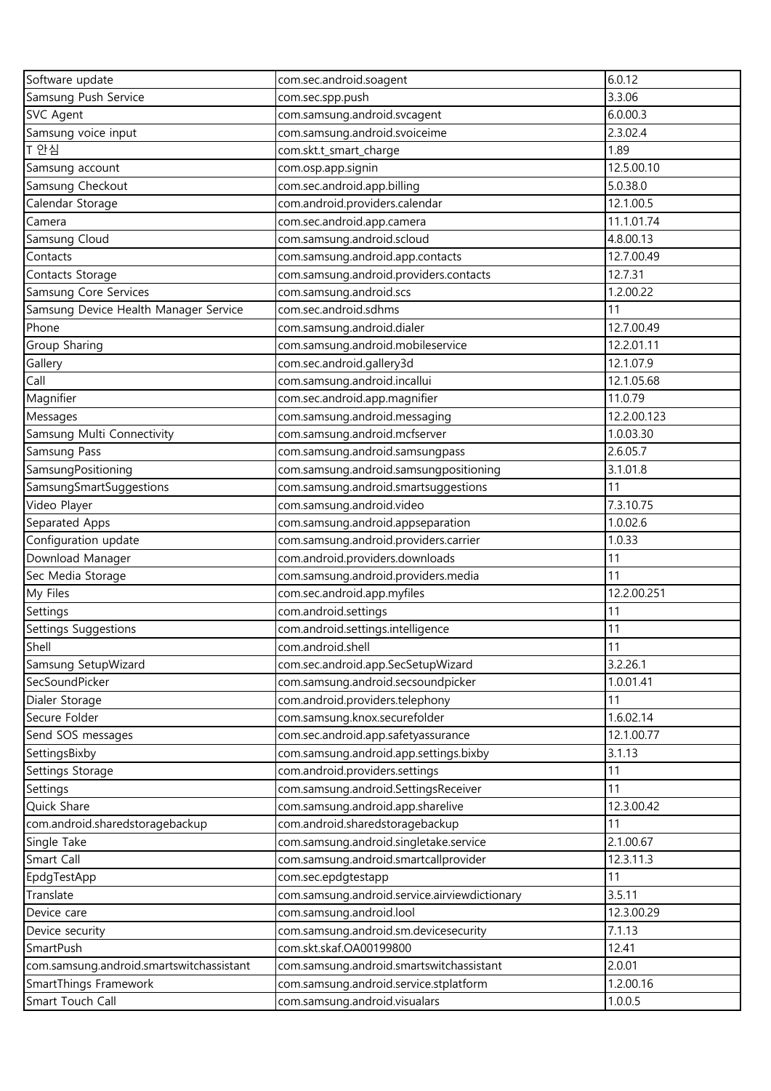| Software update                          | com.sec.android.soagent                       | 6.0.12      |
|------------------------------------------|-----------------------------------------------|-------------|
| Samsung Push Service                     | com.sec.spp.push                              | 3.3.06      |
| <b>SVC Agent</b>                         | com.samsung.android.svcagent                  | 6.0.00.3    |
| Samsung voice input                      | com.samsung.android.svoiceime                 | 2.3.02.4    |
| T 안심                                     | com.skt.t_smart_charge                        | 1.89        |
| Samsung account                          | com.osp.app.signin                            | 12.5.00.10  |
| Samsung Checkout                         | com.sec.android.app.billing                   | 5.0.38.0    |
| Calendar Storage                         | com.android.providers.calendar                | 12.1.00.5   |
| Camera                                   | com.sec.android.app.camera                    | 11.1.01.74  |
| Samsung Cloud                            | com.samsung.android.scloud                    | 4.8.00.13   |
| Contacts                                 | com.samsung.android.app.contacts              | 12.7.00.49  |
| Contacts Storage                         | com.samsung.android.providers.contacts        | 12.7.31     |
| Samsung Core Services                    | com.samsung.android.scs                       | 1.2.00.22   |
| Samsung Device Health Manager Service    | com.sec.android.sdhms                         | 11          |
| Phone                                    | com.samsung.android.dialer                    | 12.7.00.49  |
| Group Sharing                            | com.samsung.android.mobileservice             | 12.2.01.11  |
| Gallery                                  | com.sec.android.gallery3d                     | 12.1.07.9   |
| Call                                     | com.samsung.android.incallui                  | 12.1.05.68  |
| Magnifier                                | com.sec.android.app.magnifier                 | 11.0.79     |
| Messages                                 | com.samsung.android.messaging                 | 12.2.00.123 |
| Samsung Multi Connectivity               | com.samsung.android.mcfserver                 | 1.0.03.30   |
| Samsung Pass                             | com.samsung.android.samsungpass               | 2.6.05.7    |
| SamsungPositioning                       | com.samsung.android.samsungpositioning        | 3.1.01.8    |
| SamsungSmartSuggestions                  | com.samsung.android.smartsuggestions          | 11          |
| Video Player                             | com.samsung.android.video                     | 7.3.10.75   |
| Separated Apps                           | com.samsung.android.appseparation             | 1.0.02.6    |
| Configuration update                     | com.samsung.android.providers.carrier         | 1.0.33      |
| Download Manager                         | com.android.providers.downloads               | 11          |
| Sec Media Storage                        | com.samsung.android.providers.media           | 11          |
| My Files                                 | com.sec.android.app.myfiles                   | 12.2.00.251 |
| Settings                                 | com.android.settings                          | 11          |
| Settings Suggestions                     | com.android.settings.intelligence             | 11          |
| Shell                                    | com.android.shell                             | 11          |
| Samsung SetupWizard                      | com.sec.android.app.SecSetupWizard            | 3.2.26.1    |
| SecSoundPicker                           | com.samsung.android.secsoundpicker            | 1.0.01.41   |
| Dialer Storage                           | com.android.providers.telephony               | 11          |
| Secure Folder                            | com.samsung.knox.securefolder                 | 1.6.02.14   |
| Send SOS messages                        | com.sec.android.app.safetyassurance           | 12.1.00.77  |
| SettingsBixby                            | com.samsung.android.app.settings.bixby        | 3.1.13      |
| Settings Storage                         | com.android.providers.settings                | 11          |
| Settings                                 | com.samsung.android.SettingsReceiver          | 11          |
| Quick Share                              | com.samsung.android.app.sharelive             | 12.3.00.42  |
| com.android.sharedstoragebackup          | com.android.sharedstoragebackup               | 11          |
| Single Take                              | com.samsung.android.singletake.service        | 2.1.00.67   |
| Smart Call                               | com.samsung.android.smartcallprovider         | 12.3.11.3   |
| EpdgTestApp                              | com.sec.epdgtestapp                           | 11          |
| Translate                                | com.samsung.android.service.airviewdictionary | 3.5.11      |
| Device care                              | com.samsung.android.lool                      | 12.3.00.29  |
| Device security                          | com.samsung.android.sm.devicesecurity         | 7.1.13      |
| SmartPush                                | com.skt.skaf.OA00199800                       | 12.41       |
| com.samsung.android.smartswitchassistant | com.samsung.android.smartswitchassistant      | 2.0.01      |
| SmartThings Framework                    | com.samsung.android.service.stplatform        | 1.2.00.16   |
| Smart Touch Call                         | com.samsung.android.visualars                 | 1.0.0.5     |
|                                          |                                               |             |